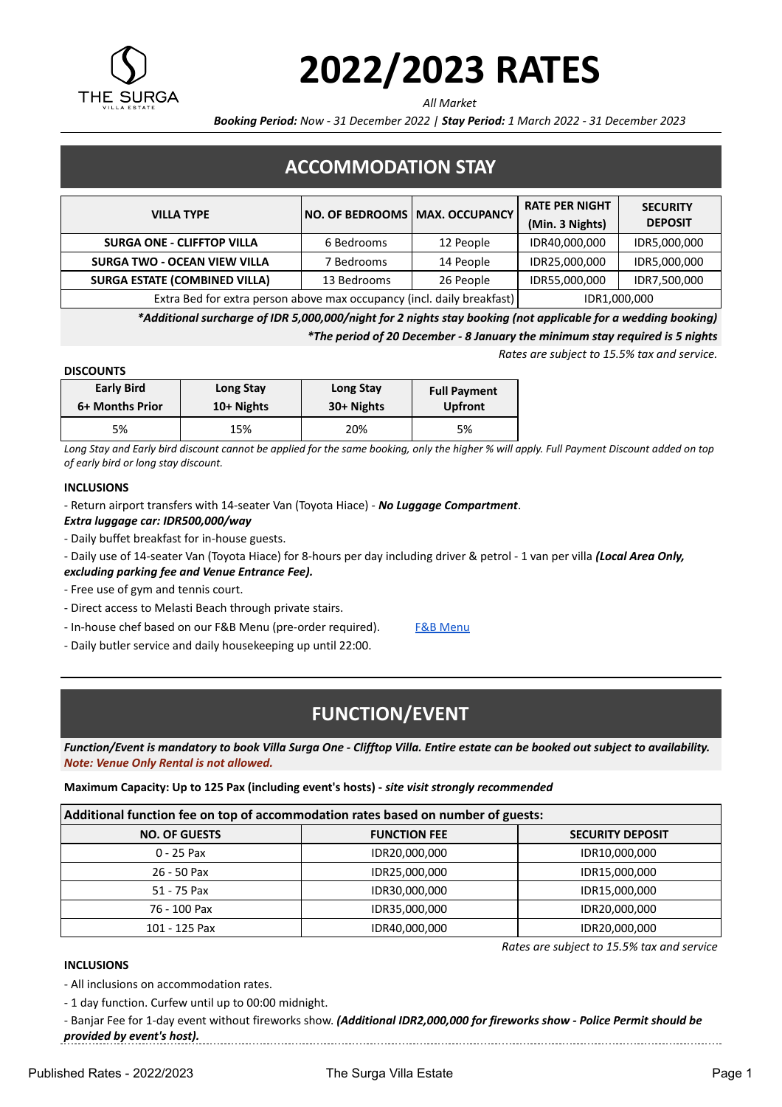

# **2022/2023 RATES**

*All Market*

*Booking Period: Now - 31 December 2022 | Stay Period: 1 March 2022 - 31 December 2023*

## **ACCOMMODATION STAY**

| <b>VILLA TYPE</b>                                                      | NO. OF BEDROOMS   MAX. OCCUPANCY |           | <b>RATE PER NIGHT</b><br>(Min. 3 Nights) | <b>SECURITY</b><br><b>DEPOSIT</b> |
|------------------------------------------------------------------------|----------------------------------|-----------|------------------------------------------|-----------------------------------|
| <b>SURGA ONE - CLIFFTOP VILLA</b>                                      | 6 Bedrooms                       | 12 People | IDR40,000,000                            | IDR5,000,000                      |
| <b>SURGA TWO - OCEAN VIEW VILLA</b>                                    | 7 Bedrooms                       | 14 People | IDR25,000,000                            | IDR5,000,000                      |
| <b>SURGA ESTATE (COMBINED VILLA)</b>                                   | 13 Bedrooms                      | 26 People | IDR55,000,000                            | IDR7,500,000                      |
| Extra Bed for extra person above max occupancy (incl. daily breakfast) |                                  |           | IDR1,000,000                             |                                   |

*\*Additional surcharge of IDR 5,000,000/night for 2 nights stay booking (not applicable for a wedding booking) \*The period of 20 December - 8 January the minimum stay required is 5 nights*

*Rates are subject to 15.5% tax and service.*

*Rates are subject to 15.5% tax and service*

#### **DISCOUNTS**

| <b>Early Bird</b> | Long Stay    | Long Stay  | <b>Full Payment</b> |
|-------------------|--------------|------------|---------------------|
| 6+ Months Prior   | $10+$ Nights | 30+ Nights | <b>Upfront</b>      |
| 5%                | 15%          | 20%        | 5%                  |

*Long Stay and Early bird discount cannot be applied for the same booking, only the higher % will apply. Full Payment Discount added on top of early bird or long stay discount.*

#### **INCLUSIONS**

- Return airport transfers with 14-seater Van (Toyota Hiace) - *No Luggage Compartment*.

*Extra luggage car: IDR500,000/way*

- Daily buffet breakfast for in-house guests.
- Daily use of 14-seater Van (Toyota Hiace) for 8-hours per day including driver & petrol 1 van per villa *(Local Area Only,*
- *excluding parking fee and Venue Entrance Fee).*
- Free use of gym and tennis court.
- Direct access to Melasti Beach through private stairs.
- In-house chef based on our F&B Menu (pre-order required). [F&B Menu](https://thesurga.com/in-house-menu)
- Daily butler service and daily housekeeping up until 22:00.

## **FUNCTION/EVENT**

*Function/Event is mandatory to book Villa Surga One - Clifftop Villa. Entire estate can be booked out subject to availability. Note: Venue Only Rental is not allowed.*

**Maximum Capacity: Up to 125 Pax (including event's hosts) -** *site visit strongly recommended*

| Additional function fee on top of accommodation rates based on number of guests: |  |
|----------------------------------------------------------------------------------|--|
|----------------------------------------------------------------------------------|--|

| <b>NO. OF GUESTS</b> | <b>FUNCTION FEE</b> | <b>SECURITY DEPOSIT</b> |  |
|----------------------|---------------------|-------------------------|--|
| $0 - 25$ Pax         | IDR20,000,000       | IDR10,000,000           |  |
| $26 - 50$ Pax        | IDR25,000,000       | IDR15,000,000           |  |
| 51 - 75 Pax          | IDR30,000,000       | IDR15,000,000           |  |
| 76 - 100 Pax         | IDR35,000,000       | IDR20,000,000           |  |
| 101 - 125 Pax        | IDR40,000,000       | IDR20,000,000           |  |

#### **INCLUSIONS**

- All inclusions on accommodation rates.

- 1 day function. Curfew until up to 00:00 midnight.

- Banjar Fee for 1-day event without fireworks show. *(Additional IDR2,000,000 for fireworks show - Police Permit should be provided by event's host).*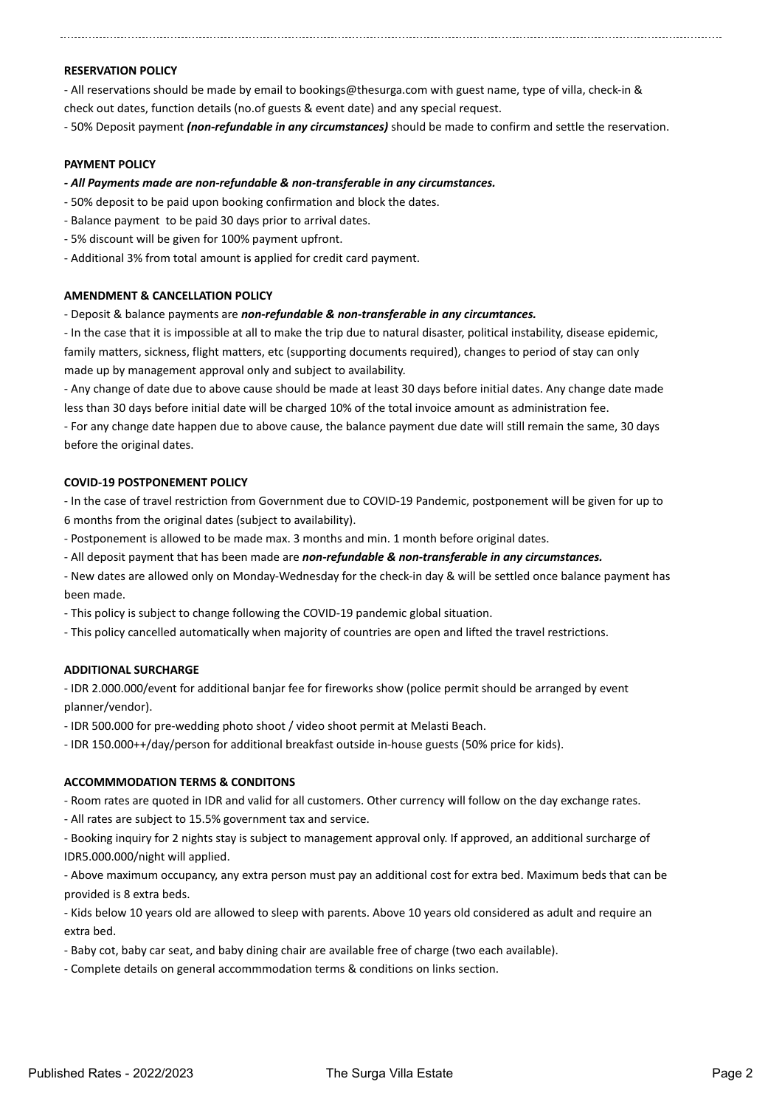#### **RESERVATION POLICY**

- All reservations should be made by email to bookings@thesurga.com with guest name, type of villa, check-in & check out dates, function details (no.of guests & event date) and any special request.

- 50% Deposit payment *(non-refundable in any circumstances)* should be made to confirm and settle the reservation.

#### **PAYMENT POLICY**

- *All Payments made are non-refundable & non-transferable in any circumstances.*
- 50% deposit to be paid upon booking confirmation and block the dates.
- Balance payment to be paid 30 days prior to arrival dates.
- 5% discount will be given for 100% payment upfront.
- Additional 3% from total amount is applied for credit card payment.

#### **AMENDMENT & CANCELLATION POLICY**

- Deposit & balance payments are *non-refundable & non-transferable in any circumtances.*

- In the case that it is impossible at all to make the trip due to natural disaster, political instability, disease epidemic, family matters, sickness, flight matters, etc (supporting documents required), changes to period of stay can only made up by management approval only and subject to availability.

- Any change of date due to above cause should be made at least 30 days before initial dates. Any change date made less than 30 days before initial date will be charged 10% of the total invoice amount as administration fee.

- For any change date happen due to above cause, the balance payment due date will still remain the same, 30 days before the original dates.

#### **COVID-19 POSTPONEMENT POLICY**

- In the case of travel restriction from Government due to COVID-19 Pandemic, postponement will be given for up to 6 months from the original dates (subject to availability).

- Postponement is allowed to be made max. 3 months and min. 1 month before original dates.
- All deposit payment that has been made are *non-refundable & non-transferable in any circumstances.*
- New dates are allowed only on Monday-Wednesday for the check-in day & will be settled once balance payment has been made.

- This policy is subject to change following the COVID-19 pandemic global situation.

- This policy cancelled automatically when majority of countries are open and lifted the travel restrictions.

#### **ADDITIONAL SURCHARGE**

- IDR 2.000.000/event for additional banjar fee for fireworks show (police permit should be arranged by event planner/vendor).

- IDR 500.000 for pre-wedding photo shoot / video shoot permit at Melasti Beach.

- IDR 150.000++/day/person for additional breakfast outside in-house guests (50% price for kids).

#### **ACCOMMMODATION TERMS & CONDITONS**

- Room rates are quoted in IDR and valid for all customers. Other currency will follow on the day exchange rates.

- All rates are subject to 15.5% government tax and service.

- Booking inquiry for 2 nights stay is subject to management approval only. If approved, an additional surcharge of IDR5.000.000/night will applied.

- Above maximum occupancy, any extra person must pay an additional cost for extra bed. Maximum beds that can be provided is 8 extra beds.

- Kids below 10 years old are allowed to sleep with parents. Above 10 years old considered as adult and require an extra bed.

- Baby cot, baby car seat, and baby dining chair are available free of charge (two each available).

- Complete details on general accommmodation terms & conditions on links section.